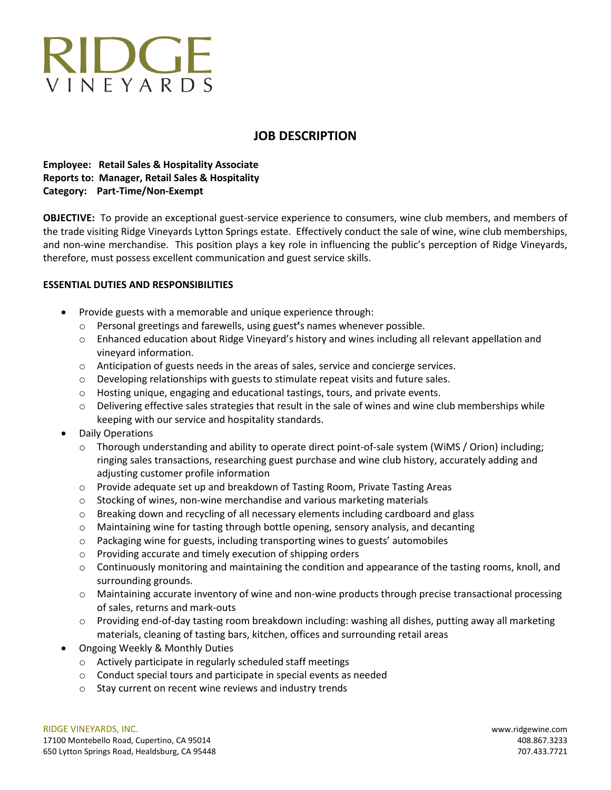# RIDGE VINFYARDS

# **JOB DESCRIPTION**

## **Employee: Retail Sales & Hospitality Associate Reports to: Manager, Retail Sales & Hospitality Category: Part-Time/Non-Exempt**

**OBJECTIVE:** To provide an exceptional guest-service experience to consumers, wine club members, and members of the trade visiting Ridge Vineyards Lytton Springs estate. Effectively conduct the sale of wine, wine club memberships, and non-wine merchandise. This position plays a key role in influencing the public's perception of Ridge Vineyards, therefore, must possess excellent communication and guest service skills.

## **ESSENTIAL DUTIES AND RESPONSIBILITIES**

- Provide guests with a memorable and unique experience through:
	- o Personal greetings and farewells, using guest**'**s names whenever possible.
	- o Enhanced education about Ridge Vineyard's history and wines including all relevant appellation and vineyard information.
	- o Anticipation of guests needs in the areas of sales, service and concierge services.
	- $\circ$  Developing relationships with guests to stimulate repeat visits and future sales.
	- o Hosting unique, engaging and educational tastings, tours, and private events.
	- $\circ$  Delivering effective sales strategies that result in the sale of wines and wine club memberships while keeping with our service and hospitality standards.
- Daily Operations
	- $\circ$  Thorough understanding and ability to operate direct point-of-sale system (WiMS / Orion) including; ringing sales transactions, researching guest purchase and wine club history, accurately adding and adjusting customer profile information
	- o Provide adequate set up and breakdown of Tasting Room, Private Tasting Areas
	- o Stocking of wines, non-wine merchandise and various marketing materials
	- o Breaking down and recycling of all necessary elements including cardboard and glass
	- o Maintaining wine for tasting through bottle opening, sensory analysis, and decanting
	- o Packaging wine for guests, including transporting wines to guests' automobiles
	- o Providing accurate and timely execution of shipping orders
	- $\circ$  Continuously monitoring and maintaining the condition and appearance of the tasting rooms, knoll, and surrounding grounds.
	- o Maintaining accurate inventory of wine and non-wine products through precise transactional processing of sales, returns and mark-outs
	- $\circ$  Providing end-of-day tasting room breakdown including: washing all dishes, putting away all marketing materials, cleaning of tasting bars, kitchen, offices and surrounding retail areas
- Ongoing Weekly & Monthly Duties
	- o Actively participate in regularly scheduled staff meetings
	- o Conduct special tours and participate in special events as needed
	- o Stay current on recent wine reviews and industry trends